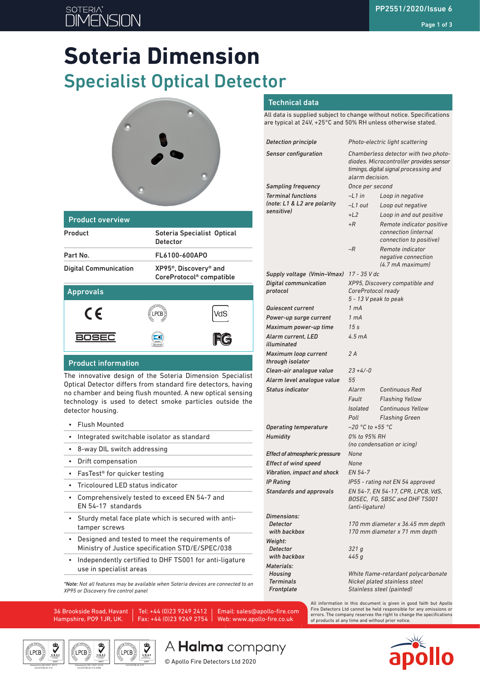# **SOTERIA**

# **Soteria Dimension** Specialist Optical Detector



| <b>Product overview</b>      |                                                                            |     |  |
|------------------------------|----------------------------------------------------------------------------|-----|--|
| Product                      | Soteria Specialist Optical<br><b>Detector</b>                              |     |  |
| Part No.                     | FL6100-600APO                                                              |     |  |
| <b>Digital Communication</b> | XP95 <sup>®</sup> , Discovery <sup>®</sup> and<br>CoreProtocol® compatible |     |  |
| <b>Approvals</b>             |                                                                            |     |  |
| CE                           | PCB).                                                                      | VdS |  |
| <b>BOSEC</b>                 |                                                                            |     |  |
| Product information          |                                                                            |     |  |

#### Product information

The innovative design of the Soteria Dimension Specialist Optical Detector differs from standard fire detectors, having no chamber and being flush mounted. A new optical sensing technology is used to detect smoke particles outside the detector housing.

- Flush Mounted
- Integrated switchable isolator as standard
- 8-way DIL switch addressing
- Drift compensation
- FasTest® for quicker testing
- Tricoloured LED status indicator
- Comprehensively tested to exceed EN 54-7 and EN 54-17 standards
- Sturdy metal face plate which is secured with antitamper screws
- Designed and tested to meet the requirements of Ministry of Justice specification STD/E/SPEC/038
- Independently certified to DHF TS001 for anti-ligature use in specialist areas

*\*Note: Not all features may be available when Soteria devices are connected to an XP95 or Discovery fire control panel*

36 Brookside Road, Havant Hampshire, PO9 1JR, UK.

> Assessed to ISO 14001:2015 Cert/LPCB ref. 010 EMS MANAGEMENT SYSTEMS

LPCB<sup>)</sup>

J

MANAGEMENT SYSTEMS Assessed to ISO 9001:2015 Cert/LPCB ref. 010

LPCB

Tel: +44 (0)23 9249 2412 Fax: +44 (0)23 9249 2754

Cert/LPCB ref. 010 PRODUCT CERTIFICATION

**LPCB** 

#### Technical data

All data is supplied subject to change without notice. Specifications are typical at 24V, +25°C and 50% RH unless otherwise stated.

| <b>Detection principle</b>                         | Photo-electric light scattering                                                                                                              |                                                                              |  |
|----------------------------------------------------|----------------------------------------------------------------------------------------------------------------------------------------------|------------------------------------------------------------------------------|--|
| <b>Sensor configuration</b>                        | Chamberless detector with two photo-<br>diodes. Microcontroller provides sensor<br>timings, digital signal processing and<br>alarm decision. |                                                                              |  |
| <b>Sampling frequency</b>                          | Once per second                                                                                                                              |                                                                              |  |
| <b>Terminal functions</b>                          | $-L1$ in                                                                                                                                     | Loop in negative                                                             |  |
| (note: L1 & L2 are polarity                        | $-L1$ out                                                                                                                                    | Loop out negative                                                            |  |
| sensitive)                                         | $+12$                                                                                                                                        | Loop in and out positive                                                     |  |
|                                                    | $+R$                                                                                                                                         | Remote indicator positive<br>connection (internal<br>connection to positive) |  |
|                                                    | -R                                                                                                                                           | Remote indicator<br>negative connection<br>(4.7 mA maximum)                  |  |
| Supply voltage (Vmin–Vmax)                         | 17 - 35 V dc                                                                                                                                 |                                                                              |  |
| <b>Digital communication</b><br>protocol           | XP95, Discovery compatible and<br>CoreProtocol ready<br>5 - 13 V peak to peak                                                                |                                                                              |  |
| <b>Quiescent current</b>                           | 1 <sub>mA</sub>                                                                                                                              |                                                                              |  |
| Power-up surge current                             | 1 <sub>mA</sub>                                                                                                                              |                                                                              |  |
| Maximum power-up time                              | 15s                                                                                                                                          |                                                                              |  |
| Alarm current, LED<br>illuminated                  | 4.5 <sub>mA</sub>                                                                                                                            |                                                                              |  |
| Maximum loop current<br>through isolator           | 2A                                                                                                                                           |                                                                              |  |
| Clean-air analogue value                           | $23 + 4/-0$                                                                                                                                  |                                                                              |  |
| Alarm level analogue value                         | 55                                                                                                                                           |                                                                              |  |
| <b>Status indicator</b>                            | Alarm                                                                                                                                        | <b>Continuous Red</b>                                                        |  |
|                                                    | Fault                                                                                                                                        | <b>Flashing Yellow</b>                                                       |  |
|                                                    | <b>Isolated</b>                                                                                                                              | <b>Continuous Yellow</b>                                                     |  |
|                                                    | Poll                                                                                                                                         | <b>Flashing Green</b>                                                        |  |
| <b>Operating temperature</b>                       | $-20$ °C to +55 °C                                                                                                                           |                                                                              |  |
| Humidity                                           | 0% to 95% RH                                                                                                                                 |                                                                              |  |
|                                                    | (no condensation or icing)                                                                                                                   |                                                                              |  |
| Effect of atmospheric pressure                     | None                                                                                                                                         |                                                                              |  |
| <b>Effect of wind speed</b>                        | None                                                                                                                                         |                                                                              |  |
| Vibration, impact and shock                        | EN 54-7                                                                                                                                      |                                                                              |  |
| <b>IP Rating</b><br><b>Standards and approvals</b> | IP55 - rating not EN 54 approved<br>EN 54-7, EN 54-17, CPR, LPCB, VdS,<br>BOSEC, FG, SBSC and DHF TS001<br>(anti-ligature)                   |                                                                              |  |
|                                                    |                                                                                                                                              |                                                                              |  |
| Dimensions:                                        |                                                                                                                                              |                                                                              |  |
| Detector<br>with backbox                           | 170 mm diameter x 36.45 mm depth<br>170 mm diameter x 71 mm depth                                                                            |                                                                              |  |
| Weight:                                            |                                                                                                                                              |                                                                              |  |
| Detector<br>with backbox                           | 321q<br>445 g                                                                                                                                |                                                                              |  |
| Materials:                                         |                                                                                                                                              |                                                                              |  |
| Housing                                            |                                                                                                                                              | White flame-retardant polycarbonate                                          |  |
| <b>Terminals</b>                                   | Nickel plated stainless steel<br>Stainless steel (painted)                                                                                   |                                                                              |  |
| Frontplate                                         |                                                                                                                                              |                                                                              |  |

All information in this document is given in good faith but Apollo Fire Detectors Ltd cannot be held responsible for any omissions or errors. The company reserves the right to change the specifications of products at any time and without prior notice.



A Halma company

Email: sales@apollo-fire.com Web: www.apollo-fire.co.uk

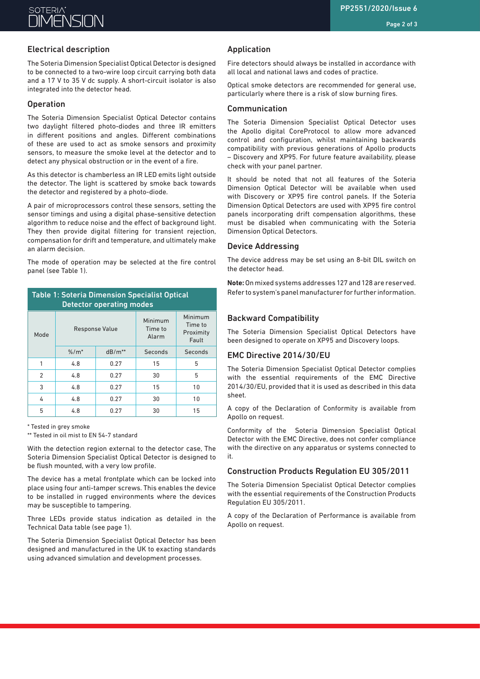# **SOTERIA**

#### Page 2 of 3

# Electrical description

The Soteria Dimension Specialist Optical Detector is designed to be connected to a two-wire loop circuit carrying both data and a 17 V to 35 V dc supply. A short-circuit isolator is also integrated into the detector head.

## **Operation**

The Soteria Dimension Specialist Optical Detector contains two daylight filtered photo-diodes and three IR emitters in different positions and angles. Different combinations of these are used to act as smoke sensors and proximity sensors, to measure the smoke level at the detector and to detect any physical obstruction or in the event of a fire.

As this detector is chamberless an IR LED emits light outside the detector. The light is scattered by smoke back towards the detector and registered by a photo-diode.

A pair of microprocessors control these sensors, setting the sensor timings and using a digital phase-sensitive detection algorithm to reduce noise and the effect of background light. They then provide digital filtering for transient rejection, compensation for drift and temperature, and ultimately make an alarm decision.

The mode of operation may be selected at the fire control panel (see Table 1).

| <b>Table 1: Soteria Dimension Specialist Optical</b><br><b>Detector operating modes</b> |          |                       |         |                                          |  |  |
|-----------------------------------------------------------------------------------------|----------|-----------------------|---------|------------------------------------------|--|--|
| Mode                                                                                    |          | <b>Response Value</b> |         | Minimum<br>Time to<br>Proximity<br>Fault |  |  |
|                                                                                         | $% / m*$ | $dB/m**$              | Seconds | Seconds                                  |  |  |
| 1                                                                                       | 4.8      | 0.27                  | 15      | 5                                        |  |  |
| $\mathcal{P}$                                                                           | 4.8      | 0.27                  | 30      | 5                                        |  |  |
| 3                                                                                       | 4.8      | 0.27                  | 15      | 10                                       |  |  |
| 4                                                                                       | 4.8      | 0.27                  | 30      | 10                                       |  |  |
| 5                                                                                       | 4.8      | 0.27                  | 30      | 15                                       |  |  |

\* Tested in grey smoke

\*\* Tested in oil mist to EN 54-7 standard

With the detection region external to the detector case, The Soteria Dimension Specialist Optical Detector is designed to be flush mounted, with a very low profile.

The device has a metal frontplate which can be locked into place using four anti-tamper screws. This enables the device to be installed in rugged environments where the devices may be susceptible to tampering.

Three LEDs provide status indication as detailed in the Technical Data table (see page 1).

The Soteria Dimension Specialist Optical Detector has been designed and manufactured in the UK to exacting standards using advanced simulation and development processes.

### Application

Fire detectors should always be installed in accordance with all local and national laws and codes of practice.

Optical smoke detectors are recommended for general use, particularly where there is a risk of slow burning fires.

#### Communication

The Soteria Dimension Specialist Optical Detector uses the Apollo digital CoreProtocol to allow more advanced control and configuration, whilst maintaining backwards compatibility with previous generations of Apollo products – Discovery and XP95. For future feature availability, please check with your panel partner.

It should be noted that not all features of the Soteria Dimension Optical Detector will be available when used with Discovery or XP95 fire control panels. If the Soteria Dimension Optical Detectors are used with XP95 fire control panels incorporating drift compensation algorithms, these must be disabled when communicating with the Soteria Dimension Optical Detectors.

#### Device Addressing

The device address may be set using an 8-bit DIL switch on the detector head.

**Note:** On mixed systems addresses 127 and 128 are reserved. Refer to system's panel manufacturer for further information.

#### Backward Compatibility

The Soteria Dimension Specialist Optical Detectors have been designed to operate on XP95 and Discovery loops.

#### EMC Directive 2014/30/EU

The Soteria Dimension Specialist Optical Detector complies with the essential requirements of the EMC Directive 2014/30/EU, provided that it is used as described in this data sheet.

A copy of the Declaration of Conformity is available from Apollo on request.

Conformity of the Soteria Dimension Specialist Optical Detector with the EMC Directive, does not confer compliance with the directive on any apparatus or systems connected to it.

#### Construction Products Regulation EU 305/2011

The Soteria Dimension Specialist Optical Detector complies with the essential requirements of the Construction Products Regulation EU 305/2011.

A copy of the Declaration of Performance is available from Apollo on request.